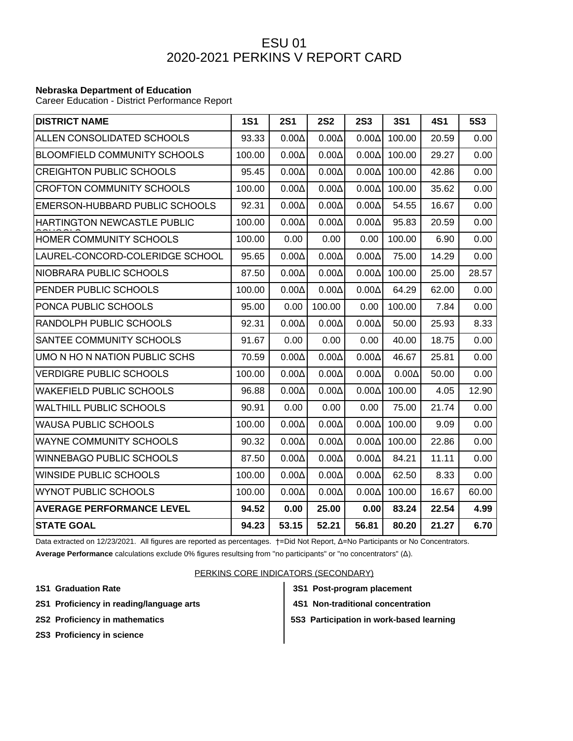## ESU 01 2020-2021 PERKINS V REPORT CARD

## **Nebraska Department of Education**

Career Education - District Performance Report

| <b>DISTRICT NAME</b>                | <b>1S1</b> | <b>2S1</b>   | <b>2S2</b>   | <b>2S3</b>   | <b>3S1</b>   | <b>4S1</b> | <b>5S3</b> |
|-------------------------------------|------------|--------------|--------------|--------------|--------------|------------|------------|
| ALLEN CONSOLIDATED SCHOOLS          | 93.33      | $0.00\Delta$ | $0.00\Delta$ | $0.00\Delta$ | 100.00       | 20.59      | 0.00       |
| <b>BLOOMFIELD COMMUNITY SCHOOLS</b> | 100.00     | $0.00\Delta$ | $0.00\Delta$ | $0.00\Delta$ | 100.00       | 29.27      | 0.00       |
| <b>CREIGHTON PUBLIC SCHOOLS</b>     | 95.45      | $0.00\Delta$ | $0.00\Delta$ | $0.00\Delta$ | 100.00       | 42.86      | 0.00       |
| <b>CROFTON COMMUNITY SCHOOLS</b>    | 100.00     | $0.00\Delta$ | $0.00\Delta$ | $0.00\Delta$ | 100.00       | 35.62      | 0.00       |
| EMERSON-HUBBARD PUBLIC SCHOOLS      | 92.31      | $0.00\Delta$ | $0.00\Delta$ | $0.00\Delta$ | 54.55        | 16.67      | 0.00       |
| <b>HARTINGTON NEWCASTLE PUBLIC</b>  | 100.00     | $0.00\Delta$ | $0.00\Delta$ | $0.00\Delta$ | 95.83        | 20.59      | 0.00       |
| HOMER COMMUNITY SCHOOLS             | 100.00     | 0.00         | 0.00         | 0.00         | 100.00       | 6.90       | 0.00       |
| LAUREL-CONCORD-COLERIDGE SCHOOL     | 95.65      | $0.00\Delta$ | $0.00\Delta$ | $0.00\Delta$ | 75.00        | 14.29      | 0.00       |
| NIOBRARA PUBLIC SCHOOLS             | 87.50      | $0.00\Delta$ | $0.00\Delta$ | $0.00\Delta$ | 100.00       | 25.00      | 28.57      |
| PENDER PUBLIC SCHOOLS               | 100.00     | $0.00\Delta$ | $0.00\Delta$ | $0.00\Delta$ | 64.29        | 62.00      | 0.00       |
| PONCA PUBLIC SCHOOLS                | 95.00      | 0.00         | 100.00       | 0.00         | 100.00       | 7.84       | 0.00       |
| RANDOLPH PUBLIC SCHOOLS             | 92.31      | $0.00\Delta$ | $0.00\Delta$ | $0.00\Delta$ | 50.00        | 25.93      | 8.33       |
| SANTEE COMMUNITY SCHOOLS            | 91.67      | 0.00         | 0.00         | 0.00         | 40.00        | 18.75      | 0.00       |
| UMO N HO N NATION PUBLIC SCHS       | 70.59      | $0.00\Delta$ | $0.00\Delta$ | $0.00\Delta$ | 46.67        | 25.81      | 0.00       |
| <b>VERDIGRE PUBLIC SCHOOLS</b>      | 100.00     | $0.00\Delta$ | $0.00\Delta$ | $0.00\Delta$ | $0.00\Delta$ | 50.00      | 0.00       |
| <b>WAKEFIELD PUBLIC SCHOOLS</b>     | 96.88      | $0.00\Delta$ | $0.00\Delta$ | $0.00\Delta$ | 100.00       | 4.05       | 12.90      |
| <b>WALTHILL PUBLIC SCHOOLS</b>      | 90.91      | 0.00         | 0.00         | 0.00         | 75.00        | 21.74      | 0.00       |
| <b>WAUSA PUBLIC SCHOOLS</b>         | 100.00     | $0.00\Delta$ | $0.00\Delta$ | $0.00\Delta$ | 100.00       | 9.09       | 0.00       |
| <b>WAYNE COMMUNITY SCHOOLS</b>      | 90.32      | $0.00\Delta$ | $0.00\Delta$ | $0.00\Delta$ | 100.00       | 22.86      | 0.00       |
| <b>WINNEBAGO PUBLIC SCHOOLS</b>     | 87.50      | $0.00\Delta$ | $0.00\Delta$ | $0.00\Delta$ | 84.21        | 11.11      | 0.00       |
| WINSIDE PUBLIC SCHOOLS              | 100.00     | $0.00\Delta$ | $0.00\Delta$ | $0.00\Delta$ | 62.50        | 8.33       | 0.00       |
| WYNOT PUBLIC SCHOOLS                | 100.00     | $0.00\Delta$ | $0.00\Delta$ | $0.00\Delta$ | 100.00       | 16.67      | 60.00      |
| <b>AVERAGE PERFORMANCE LEVEL</b>    | 94.52      | 0.00         | 25.00        | 0.00         | 83.24        | 22.54      | 4.99       |
| <b>STATE GOAL</b>                   | 94.23      | 53.15        | 52.21        | 56.81        | 80.20        | 21.27      | 6.70       |

Data extracted on 12/23/2021. All figures are reported as percentages. †=Did Not Report, Δ=No Participants or No Concentrators.

**Average Performance** calculations exclude 0% figures resultsing from "no participants" or "no concentrators" (Δ).

## PERKINS CORE INDICATORS (SECONDARY)

- **1S1 Graduation Rate 3S1 Post-program placement**
- **2S1 Proficiency in reading/language arts 4S1 Non-traditional concentration**
- -
	-
- 
- **2S2 Proficiency in mathematics 5S3 Participation in work-based learning**
- **2S3 Proficiency in science**